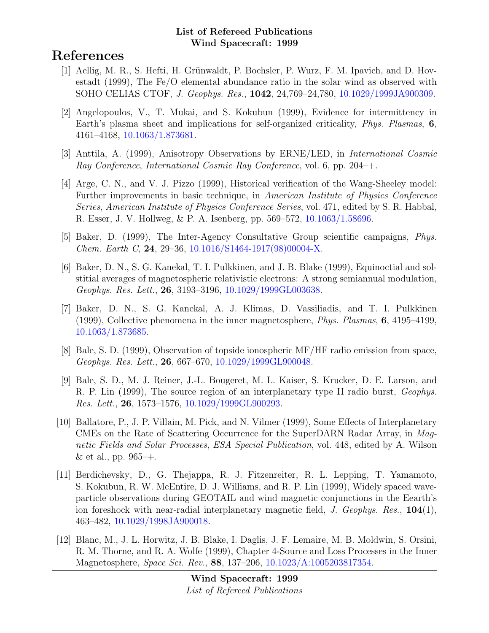# References

- [1] Aellig, M. R., S. Hefti, H. Grünwaldt, P. Bochsler, P. Wurz, F. M. Ipavich, and D. Hovestadt (1999), The Fe/O elemental abundance ratio in the solar wind as observed with SOHO CELIAS CTOF, J. Geophys. Res., 1042, 24,769–24,780, [10.1029/1999JA900309.](http://dx.doi.org/10.1029/1999JA900309)
- [2] Angelopoulos, V., T. Mukai, and S. Kokubun (1999), Evidence for intermittency in Earth's plasma sheet and implications for self-organized criticality, Phys. Plasmas, 6, 4161–4168, [10.1063/1.873681.](http://dx.doi.org/10.1063/1.873681)
- [3] Anttila, A. (1999), Anisotropy Observations by ERNE/LED, in International Cosmic Ray Conference, International Cosmic Ray Conference, vol. 6, pp. 204–+.
- [4] Arge, C. N., and V. J. Pizzo (1999), Historical verification of the Wang-Sheeley model: Further improvements in basic technique, in American Institute of Physics Conference Series, American Institute of Physics Conference Series, vol. 471, edited by S. R. Habbal, R. Esser, J. V. Hollweg, & P. A. Isenberg, pp. 569–572, [10.1063/1.58696.](http://dx.doi.org/10.1063/1.58696)
- [5] Baker, D. (1999), The Inter-Agency Consultative Group scientific campaigns, Phys. Chem. Earth C, 24, 29–36, [10.1016/S1464-1917\(98\)00004-X.](http://dx.doi.org/10.1016/S1464-1917(98)00004-X)
- [6] Baker, D. N., S. G. Kanekal, T. I. Pulkkinen, and J. B. Blake (1999), Equinoctial and solstitial averages of magnetospheric relativistic electrons: A strong semiannual modulation, Geophys. Res. Lett., 26, 3193–3196, [10.1029/1999GL003638.](http://dx.doi.org/10.1029/1999GL003638)
- [7] Baker, D. N., S. G. Kanekal, A. J. Klimas, D. Vassiliadis, and T. I. Pulkkinen (1999), Collective phenomena in the inner magnetosphere, Phys. Plasmas, 6, 4195–4199, [10.1063/1.873685.](http://dx.doi.org/10.1063/1.873685)
- [8] Bale, S. D. (1999), Observation of topside ionospheric MF/HF radio emission from space, Geophys. Res. Lett., 26, 667–670, [10.1029/1999GL900048.](http://dx.doi.org/10.1029/1999GL900048)
- [9] Bale, S. D., M. J. Reiner, J.-L. Bougeret, M. L. Kaiser, S. Krucker, D. E. Larson, and R. P. Lin (1999), The source region of an interplanetary type II radio burst, Geophys. Res. Lett., 26, 1573–1576, [10.1029/1999GL900293.](http://dx.doi.org/10.1029/1999GL900293)
- [10] Ballatore, P., J. P. Villain, M. Pick, and N. Vilmer (1999), Some Effects of Interplanetary CMEs on the Rate of Scattering Occurrence for the SuperDARN Radar Array, in Magnetic Fields and Solar Processes, ESA Special Publication, vol. 448, edited by A. Wilson & et al., pp.  $965 - +$ .
- [11] Berdichevsky, D., G. Thejappa, R. J. Fitzenreiter, R. L. Lepping, T. Yamamoto, S. Kokubun, R. W. McEntire, D. J. Williams, and R. P. Lin (1999), Widely spaced waveparticle observations during GEOTAIL and wind magnetic conjunctions in the Eearth's ion foreshock with near-radial interplanetary magnetic field, J. Geophys. Res., 104(1), 463–482, [10.1029/1998JA900018.](http://dx.doi.org/10.1029/1998JA900018)
- [12] Blanc, M., J. L. Horwitz, J. B. Blake, I. Daglis, J. F. Lemaire, M. B. Moldwin, S. Orsini, R. M. Thorne, and R. A. Wolfe (1999), Chapter 4-Source and Loss Processes in the Inner Magnetosphere, Space Sci. Rev., 88, 137–206, [10.1023/A:1005203817354.](http://dx.doi.org/10.1023/A:1005203817354)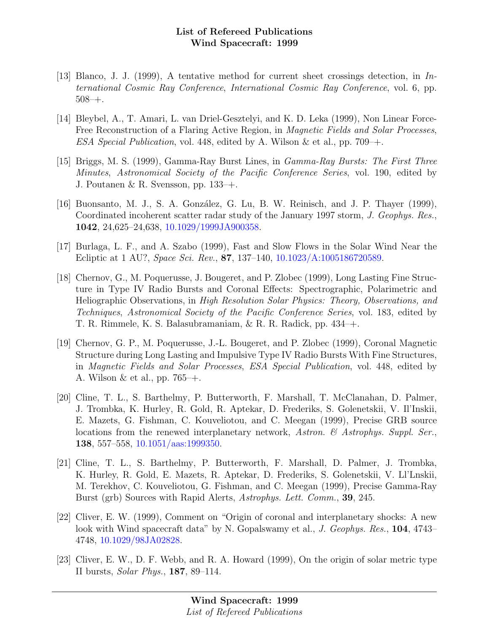- [13] Blanco, J. J. (1999), A tentative method for current sheet crossings detection, in International Cosmic Ray Conference, International Cosmic Ray Conference, vol. 6, pp. 508–+.
- [14] Bleybel, A., T. Amari, L. van Driel-Gesztelyi, and K. D. Leka (1999), Non Linear Force-Free Reconstruction of a Flaring Active Region, in Magnetic Fields and Solar Processes, ESA Special Publication, vol. 448, edited by A. Wilson & et al., pp. 709–+.
- [15] Briggs, M. S. (1999), Gamma-Ray Burst Lines, in Gamma-Ray Bursts: The First Three Minutes, Astronomical Society of the Pacific Conference Series, vol. 190, edited by J. Poutanen & R. Svensson, pp. 133–+.
- [16] Buonsanto, M. J., S. A. González, G. Lu, B. W. Reinisch, and J. P. Thayer (1999), Coordinated incoherent scatter radar study of the January 1997 storm, J. Geophys. Res., 1042, 24,625–24,638, [10.1029/1999JA900358.](http://dx.doi.org/10.1029/1999JA900358)
- [17] Burlaga, L. F., and A. Szabo (1999), Fast and Slow Flows in the Solar Wind Near the Ecliptic at 1 AU?, Space Sci. Rev., 87, 137–140, [10.1023/A:1005186720589.](http://dx.doi.org/10.1023/A:1005186720589)
- [18] Chernov, G., M. Poquerusse, J. Bougeret, and P. Zlobec (1999), Long Lasting Fine Structure in Type IV Radio Bursts and Coronal Effects: Spectrographic, Polarimetric and Heliographic Observations, in High Resolution Solar Physics: Theory, Observations, and Techniques, Astronomical Society of the Pacific Conference Series, vol. 183, edited by T. R. Rimmele, K. S. Balasubramaniam, & R. R. Radick, pp. 434–+.
- [19] Chernov, G. P., M. Poquerusse, J.-L. Bougeret, and P. Zlobec (1999), Coronal Magnetic Structure during Long Lasting and Impulsive Type IV Radio Bursts With Fine Structures, in Magnetic Fields and Solar Processes, ESA Special Publication, vol. 448, edited by A. Wilson & et al., pp. 765–+.
- [20] Cline, T. L., S. Barthelmy, P. Butterworth, F. Marshall, T. McClanahan, D. Palmer, J. Trombka, K. Hurley, R. Gold, R. Aptekar, D. Frederiks, S. Golenetskii, V. Il'Inskii, E. Mazets, G. Fishman, C. Kouveliotou, and C. Meegan (1999), Precise GRB source locations from the renewed interplanetary network, Astron. & Astrophys. Suppl. Ser., 138, 557–558, [10.1051/aas:1999350.](http://dx.doi.org/10.1051/aas:1999350)
- [21] Cline, T. L., S. Barthelmy, P. Butterworth, F. Marshall, D. Palmer, J. Trombka, K. Hurley, R. Gold, E. Mazets, R. Aptekar, D. Frederiks, S. Golenetskii, V. Ll'Lnskii, M. Terekhov, C. Kouveliotou, G. Fishman, and C. Meegan (1999), Precise Gamma-Ray Burst (grb) Sources with Rapid Alerts, Astrophys. Lett. Comm., 39, 245.
- [22] Cliver, E. W. (1999), Comment on "Origin of coronal and interplanetary shocks: A new look with Wind spacecraft data" by N. Gopalswamy et al., J. Geophys. Res., 104, 4743– 4748, [10.1029/98JA02828.](http://dx.doi.org/10.1029/98JA02828)
- [23] Cliver, E. W., D. F. Webb, and R. A. Howard (1999), On the origin of solar metric type II bursts, Solar Phys., 187, 89–114.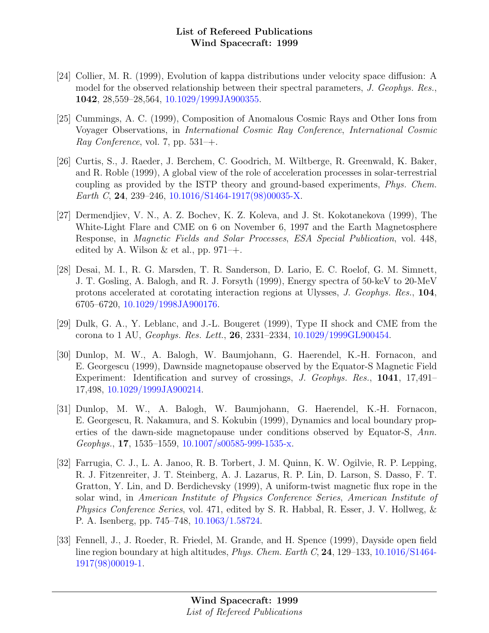- [24] Collier, M. R. (1999), Evolution of kappa distributions under velocity space diffusion: A model for the observed relationship between their spectral parameters, J. Geophys. Res., 1042, 28,559–28,564, [10.1029/1999JA900355.](http://dx.doi.org/10.1029/1999JA900355)
- [25] Cummings, A. C. (1999), Composition of Anomalous Cosmic Rays and Other Ions from Voyager Observations, in International Cosmic Ray Conference, International Cosmic Ray Conference, vol. 7, pp.  $531$ –+.
- [26] Curtis, S., J. Raeder, J. Berchem, C. Goodrich, M. Wiltberge, R. Greenwald, K. Baker, and R. Roble (1999), A global view of the role of acceleration processes in solar-terrestrial coupling as provided by the ISTP theory and ground-based experiments, Phys. Chem. Earth C, 24, 239–246, [10.1016/S1464-1917\(98\)00035-X.](http://dx.doi.org/10.1016/S1464-1917(98)00035-X)
- [27] Dermendjiev, V. N., A. Z. Bochev, K. Z. Koleva, and J. St. Kokotanekova (1999), The White-Light Flare and CME on 6 on November 6, 1997 and the Earth Magnetosphere Response, in Magnetic Fields and Solar Processes, ESA Special Publication, vol. 448, edited by A. Wilson  $\&$  et al., pp. 971–+.
- [28] Desai, M. I., R. G. Marsden, T. R. Sanderson, D. Lario, E. C. Roelof, G. M. Simnett, J. T. Gosling, A. Balogh, and R. J. Forsyth (1999), Energy spectra of 50-keV to 20-MeV protons accelerated at corotating interaction regions at Ulysses, J. Geophys. Res., 104, 6705–6720, [10.1029/1998JA900176.](http://dx.doi.org/10.1029/1998JA900176)
- [29] Dulk, G. A., Y. Leblanc, and J.-L. Bougeret (1999), Type II shock and CME from the corona to 1 AU, Geophys. Res. Lett., 26, 2331–2334, [10.1029/1999GL900454.](http://dx.doi.org/10.1029/1999GL900454)
- [30] Dunlop, M. W., A. Balogh, W. Baumjohann, G. Haerendel, K.-H. Fornacon, and E. Georgescu (1999), Dawnside magnetopause observed by the Equator-S Magnetic Field Experiment: Identification and survey of crossings, J. Geophys. Res., 1041, 17,491– 17,498, [10.1029/1999JA900214.](http://dx.doi.org/10.1029/1999JA900214)
- [31] Dunlop, M. W., A. Balogh, W. Baumjohann, G. Haerendel, K.-H. Fornacon, E. Georgescu, R. Nakamura, and S. Kokubin (1999), Dynamics and local boundary properties of the dawn-side magnetopause under conditions observed by Equator-S, Ann. Geophys., 17, 1535–1559, [10.1007/s00585-999-1535-x.](http://dx.doi.org/10.1007/s00585-999-1535-x)
- [32] Farrugia, C. J., L. A. Janoo, R. B. Torbert, J. M. Quinn, K. W. Ogilvie, R. P. Lepping, R. J. Fitzenreiter, J. T. Steinberg, A. J. Lazarus, R. P. Lin, D. Larson, S. Dasso, F. T. Gratton, Y. Lin, and D. Berdichevsky (1999), A uniform-twist magnetic flux rope in the solar wind, in American Institute of Physics Conference Series, American Institute of Physics Conference Series, vol. 471, edited by S. R. Habbal, R. Esser, J. V. Hollweg, & P. A. Isenberg, pp. 745–748, [10.1063/1.58724.](http://dx.doi.org/10.1063/1.58724)
- [33] Fennell, J., J. Roeder, R. Friedel, M. Grande, and H. Spence (1999), Dayside open field line region boundary at high altitudes, *Phys. Chem. Earth C*, **24**, 129–133, [10.1016/S1464-](http://dx.doi.org/10.1016/S1464-1917(98)00019-1) [1917\(98\)00019-1.](http://dx.doi.org/10.1016/S1464-1917(98)00019-1)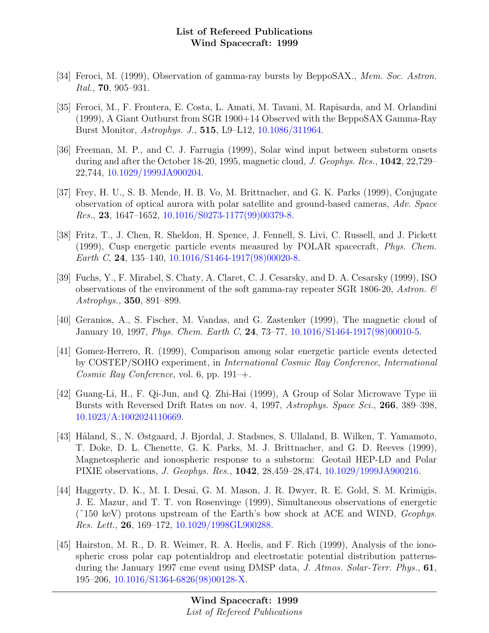- [34] Feroci, M. (1999), Observation of gamma-ray bursts by BeppoSAX., Mem. Soc. Astron. Ital., 70, 905–931.
- [35] Feroci, M., F. Frontera, E. Costa, L. Amati, M. Tavani, M. Rapisarda, and M. Orlandini (1999), A Giant Outburst from SGR 1900+14 Observed with the BeppoSAX Gamma-Ray Burst Monitor, Astrophys. J., 515, L9–L12, [10.1086/311964.](http://dx.doi.org/10.1086/311964)
- [36] Freeman, M. P., and C. J. Farrugia (1999), Solar wind input between substorm onsets during and after the October 18-20, 1995, magnetic cloud, J. Geophys. Res., 1042, 22,729– 22,744, [10.1029/1999JA900204.](http://dx.doi.org/10.1029/1999JA900204)
- [37] Frey, H. U., S. B. Mende, H. B. Vo, M. Brittnacher, and G. K. Parks (1999), Conjugate observation of optical aurora with polar satellite and ground-based cameras, Adv. Space Res., 23, 1647–1652, [10.1016/S0273-1177\(99\)00379-8.](http://dx.doi.org/10.1016/S0273-1177(99)00379-8)
- [38] Fritz, T., J. Chen, R. Sheldon, H. Spence, J. Fennell, S. Livi, C. Russell, and J. Pickett (1999), Cusp energetic particle events measured by POLAR spacecraft, Phys. Chem. Earth C, 24, 135–140,  $10.1016/S1464-1917(98)00020-8$ .
- [39] Fuchs, Y., F. Mirabel, S. Chaty, A. Claret, C. J. Cesarsky, and D. A. Cesarsky (1999), ISO observations of the environment of the soft gamma-ray repeater SGR 1806-20, Astron.  $\mathcal{C}$ Astrophys., 350, 891–899.
- [40] Geranios, A., S. Fischer, M. Vandas, and G. Zastenker (1999), The magnetic cloud of January 10, 1997, Phys. Chem. Earth C, 24, 73–77, [10.1016/S1464-1917\(98\)00010-5.](http://dx.doi.org/10.1016/S1464-1917(98)00010-5)
- [41] Gomez-Herrero, R. (1999), Comparison among solar energetic particle events detected by COSTEP/SOHO experiment, in International Cosmic Ray Conference, International Cosmic Ray Conference, vol. 6, pp.  $191 - +$ .
- [42] Guang-Li, H., F. Qi-Jun, and Q. Zhi-Hai (1999), A Group of Solar Microwave Type iii Bursts with Reversed Drift Rates on nov. 4, 1997, Astrophys. Space Sci., 266, 389–398, [10.1023/A:1002024110669.](http://dx.doi.org/10.1023/A:1002024110669)
- [43] Håland, S., N. Østgaard, J. Bjordal, J. Stadsnes, S. Ullaland, B. Wilken, T. Yamamoto, T. Doke, D. L. Chenette, G. K. Parks, M. J. Brittnacher, and G. D. Reeves (1999), Magnetospheric and ionospheric response to a substorm: Geotail HEP-LD and Polar PIXIE observations, J. Geophys. Res., 1042, 28,459–28,474, [10.1029/1999JA900216.](http://dx.doi.org/10.1029/1999JA900216)
- [44] Haggerty, D. K., M. I. Desai, G. M. Mason, J. R. Dwyer, R. E. Gold, S. M. Krimigis, J. E. Mazur, and T. T. von Rosenvinge (1999), Simultaneous observations of energetic  $(^{\sim}150 \text{ keV})$  protons upstream of the Earth's bow shock at ACE and WIND, *Geophys.* Res. Lett., 26, 169–172, [10.1029/1998GL900288.](http://dx.doi.org/10.1029/1998GL900288)
- [45] Hairston, M. R., D. R. Weimer, R. A. Heelis, and F. Rich (1999), Analysis of the ionospheric cross polar cap potentialdrop and electrostatic potential distribution patternsduring the January 1997 cme event using DMSP data, J. Atmos. Solar-Terr. Phys., 61, 195–206, [10.1016/S1364-6826\(98\)00128-X.](http://dx.doi.org/10.1016/S1364-6826(98)00128-X)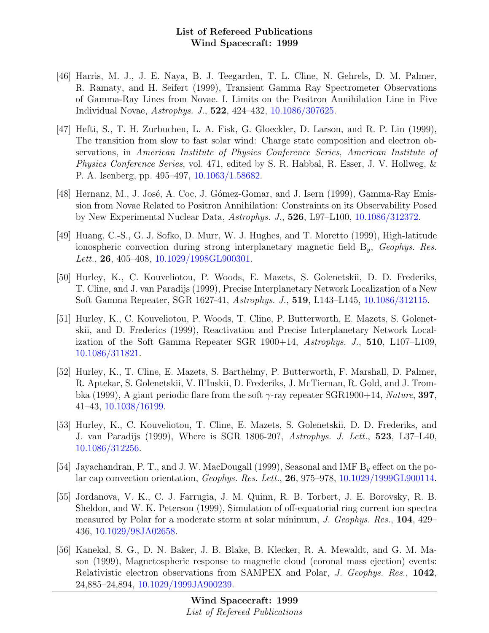- [46] Harris, M. J., J. E. Naya, B. J. Teegarden, T. L. Cline, N. Gehrels, D. M. Palmer, R. Ramaty, and H. Seifert (1999), Transient Gamma Ray Spectrometer Observations of Gamma-Ray Lines from Novae. I. Limits on the Positron Annihilation Line in Five Individual Novae, Astrophys. J., 522, 424–432, [10.1086/307625.](http://dx.doi.org/10.1086/307625)
- [47] Hefti, S., T. H. Zurbuchen, L. A. Fisk, G. Gloeckler, D. Larson, and R. P. Lin (1999), The transition from slow to fast solar wind: Charge state composition and electron observations, in American Institute of Physics Conference Series, American Institute of Physics Conference Series, vol. 471, edited by S. R. Habbal, R. Esser, J. V. Hollweg, & P. A. Isenberg, pp. 495–497, [10.1063/1.58682.](http://dx.doi.org/10.1063/1.58682)
- [48] Hernanz, M., J. José, A. Coc, J. Gómez-Gomar, and J. Isern (1999), Gamma-Ray Emission from Novae Related to Positron Annihilation: Constraints on its Observability Posed by New Experimental Nuclear Data, Astrophys. J., 526, L97–L100, [10.1086/312372.](http://dx.doi.org/10.1086/312372)
- [49] Huang, C.-S., G. J. Sofko, D. Murr, W. J. Hughes, and T. Moretto (1999), High-latitude ionospheric convection during strong interplanetary magnetic field  $B_y$ , Geophys. Res. Lett., 26, 405–408, [10.1029/1998GL900301.](http://dx.doi.org/10.1029/1998GL900301)
- [50] Hurley, K., C. Kouveliotou, P. Woods, E. Mazets, S. Golenetskii, D. D. Frederiks, T. Cline, and J. van Paradijs (1999), Precise Interplanetary Network Localization of a New Soft Gamma Repeater, SGR 1627-41, Astrophys. J., 519, L143–L145, [10.1086/312115.](http://dx.doi.org/10.1086/312115)
- [51] Hurley, K., C. Kouveliotou, P. Woods, T. Cline, P. Butterworth, E. Mazets, S. Golenetskii, and D. Frederics (1999), Reactivation and Precise Interplanetary Network Localization of the Soft Gamma Repeater SGR  $1900+14$ , Astrophys. J., 510, L107–L109, [10.1086/311821.](http://dx.doi.org/10.1086/311821)
- [52] Hurley, K., T. Cline, E. Mazets, S. Barthelmy, P. Butterworth, F. Marshall, D. Palmer, R. Aptekar, S. Golenetskii, V. Il'Inskii, D. Frederiks, J. McTiernan, R. Gold, and J. Trombka (1999), A giant periodic flare from the soft  $\gamma$ -ray repeater SGR1900+14, Nature, 397, 41–43, [10.1038/16199.](http://dx.doi.org/10.1038/16199)
- [53] Hurley, K., C. Kouveliotou, T. Cline, E. Mazets, S. Golenetskii, D. D. Frederiks, and J. van Paradijs (1999), Where is SGR 1806-20?, Astrophys. J. Lett., 523, L37–L40, [10.1086/312256.](http://dx.doi.org/10.1086/312256)
- [54] Jayachandran, P. T., and J. W. MacDougall (1999), Seasonal and IMF  $B_y$  effect on the polar cap convection orientation, Geophys. Res. Lett., 26, 975–978, [10.1029/1999GL900114.](http://dx.doi.org/10.1029/1999GL900114)
- [55] Jordanova, V. K., C. J. Farrugia, J. M. Quinn, R. B. Torbert, J. E. Borovsky, R. B. Sheldon, and W. K. Peterson (1999), Simulation of off-equatorial ring current ion spectra measured by Polar for a moderate storm at solar minimum, J. Geophys. Res., 104, 429– 436, [10.1029/98JA02658.](http://dx.doi.org/10.1029/98JA02658)
- [56] Kanekal, S. G., D. N. Baker, J. B. Blake, B. Klecker, R. A. Mewaldt, and G. M. Mason (1999), Magnetospheric response to magnetic cloud (coronal mass ejection) events: Relativistic electron observations from SAMPEX and Polar, J. Geophys. Res., 1042, 24,885–24,894, [10.1029/1999JA900239.](http://dx.doi.org/10.1029/1999JA900239)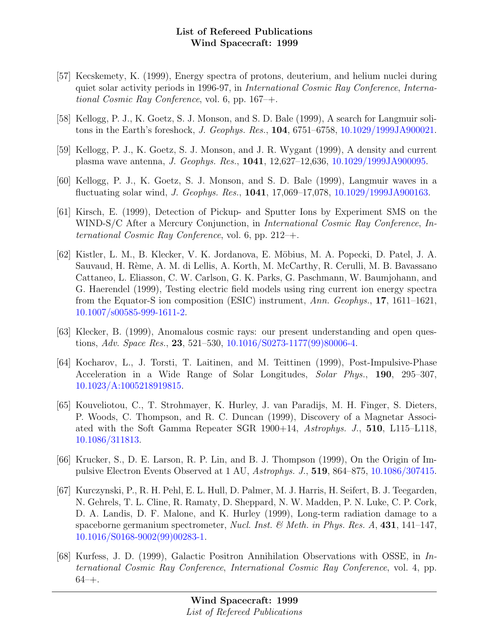- [57] Kecskemety, K. (1999), Energy spectra of protons, deuterium, and helium nuclei during quiet solar activity periods in 1996-97, in International Cosmic Ray Conference, International Cosmic Ray Conference, vol. 6, pp. 167–+.
- [58] Kellogg, P. J., K. Goetz, S. J. Monson, and S. D. Bale (1999), A search for Langmuir solitons in the Earth's foreshock, J. Geophys. Res., 104, 6751–6758, [10.1029/1999JA900021.](http://dx.doi.org/10.1029/1999JA900021)
- [59] Kellogg, P. J., K. Goetz, S. J. Monson, and J. R. Wygant (1999), A density and current plasma wave antenna, J. Geophys. Res., 1041, 12,627–12,636, [10.1029/1999JA900095.](http://dx.doi.org/10.1029/1999JA900095)
- [60] Kellogg, P. J., K. Goetz, S. J. Monson, and S. D. Bale (1999), Langmuir waves in a fluctuating solar wind, J. Geophys. Res., 1041, 17,069–17,078, [10.1029/1999JA900163.](http://dx.doi.org/10.1029/1999JA900163)
- [61] Kirsch, E. (1999), Detection of Pickup- and Sputter Ions by Experiment SMS on the WIND-S/C After a Mercury Conjunction, in *International Cosmic Ray Conference*, *In*ternational Cosmic Ray Conference, vol. 6, pp.  $212-+$ .
- [62] Kistler, L. M., B. Klecker, V. K. Jordanova, E. M¨obius, M. A. Popecki, D. Patel, J. A. Sauvaud, H. Rème, A. M. di Lellis, A. Korth, M. McCarthy, R. Cerulli, M. B. Bavassano Cattaneo, L. Eliasson, C. W. Carlson, G. K. Parks, G. Paschmann, W. Baumjohann, and G. Haerendel (1999), Testing electric field models using ring current ion energy spectra from the Equator-S ion composition (ESIC) instrument, Ann. Geophys., 17, 1611–1621, [10.1007/s00585-999-1611-2.](http://dx.doi.org/10.1007/s00585-999-1611-2)
- [63] Klecker, B. (1999), Anomalous cosmic rays: our present understanding and open questions, Adv. Space Res., 23, 521–530, [10.1016/S0273-1177\(99\)80006-4.](http://dx.doi.org/10.1016/S0273-1177(99)80006-4)
- [64] Kocharov, L., J. Torsti, T. Laitinen, and M. Teittinen (1999), Post-Impulsive-Phase Acceleration in a Wide Range of Solar Longitudes, Solar Phys., 190, 295–307, [10.1023/A:1005218919815.](http://dx.doi.org/10.1023/A:1005218919815)
- [65] Kouveliotou, C., T. Strohmayer, K. Hurley, J. van Paradijs, M. H. Finger, S. Dieters, P. Woods, C. Thompson, and R. C. Duncan (1999), Discovery of a Magnetar Associated with the Soft Gamma Repeater SGR 1900+14, Astrophys. J., 510, L115–L118, [10.1086/311813.](http://dx.doi.org/10.1086/311813)
- [66] Krucker, S., D. E. Larson, R. P. Lin, and B. J. Thompson (1999), On the Origin of Impulsive Electron Events Observed at 1 AU, Astrophys. J., 519, 864–875, [10.1086/307415.](http://dx.doi.org/10.1086/307415)
- [67] Kurczynski, P., R. H. Pehl, E. L. Hull, D. Palmer, M. J. Harris, H. Seifert, B. J. Teegarden, N. Gehrels, T. L. Cline, R. Ramaty, D. Sheppard, N. W. Madden, P. N. Luke, C. P. Cork, D. A. Landis, D. F. Malone, and K. Hurley (1999), Long-term radiation damage to a spaceborne germanium spectrometer, *Nucl. Inst. & Meth. in Phys. Res. A*, **431**, 141–147, [10.1016/S0168-9002\(99\)00283-1.](http://dx.doi.org/10.1016/S0168-9002(99)00283-1)
- [68] Kurfess, J. D. (1999), Galactic Positron Annihilation Observations with OSSE, in International Cosmic Ray Conference, International Cosmic Ray Conference, vol. 4, pp.  $64-+$ .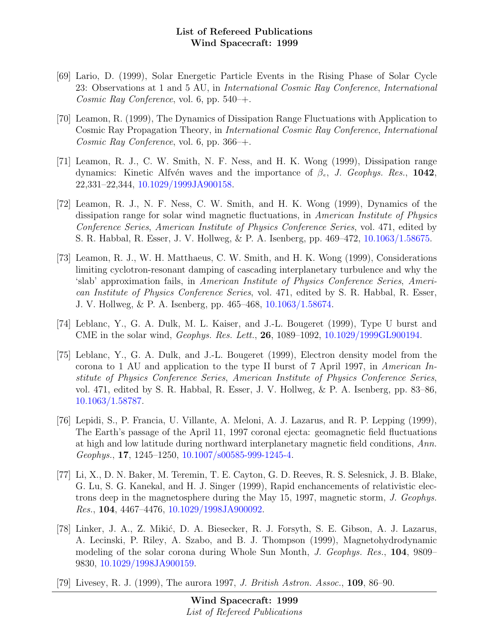- [69] Lario, D. (1999), Solar Energetic Particle Events in the Rising Phase of Solar Cycle 23: Observations at 1 and 5 AU, in International Cosmic Ray Conference, International Cosmic Ray Conference, vol. 6, pp.  $540-+$ .
- [70] Leamon, R. (1999), The Dynamics of Dissipation Range Fluctuations with Application to Cosmic Ray Propagation Theory, in International Cosmic Ray Conference, International Cosmic Ray Conference, vol. 6, pp.  $366 +$ .
- [71] Leamon, R. J., C. W. Smith, N. F. Ness, and H. K. Wong (1999), Dissipation range dynamics: Kinetic Alfvén waves and the importance of  $\beta_e$ , J. Geophys. Res., 1042, 22,331–22,344, [10.1029/1999JA900158.](http://dx.doi.org/10.1029/1999JA900158)
- [72] Leamon, R. J., N. F. Ness, C. W. Smith, and H. K. Wong (1999), Dynamics of the dissipation range for solar wind magnetic fluctuations, in American Institute of Physics Conference Series, American Institute of Physics Conference Series, vol. 471, edited by S. R. Habbal, R. Esser, J. V. Hollweg, & P. A. Isenberg, pp. 469–472, [10.1063/1.58675.](http://dx.doi.org/10.1063/1.58675)
- [73] Leamon, R. J., W. H. Matthaeus, C. W. Smith, and H. K. Wong (1999), Considerations limiting cyclotron-resonant damping of cascading interplanetary turbulence and why the 'slab' approximation fails, in American Institute of Physics Conference Series, American Institute of Physics Conference Series, vol. 471, edited by S. R. Habbal, R. Esser, J. V. Hollweg, & P. A. Isenberg, pp. 465–468, [10.1063/1.58674.](http://dx.doi.org/10.1063/1.58674)
- [74] Leblanc, Y., G. A. Dulk, M. L. Kaiser, and J.-L. Bougeret (1999), Type U burst and CME in the solar wind, Geophys. Res. Lett., 26, 1089–1092, [10.1029/1999GL900194.](http://dx.doi.org/10.1029/1999GL900194)
- [75] Leblanc, Y., G. A. Dulk, and J.-L. Bougeret (1999), Electron density model from the corona to 1 AU and application to the type II burst of 7 April 1997, in American Institute of Physics Conference Series, American Institute of Physics Conference Series, vol. 471, edited by S. R. Habbal, R. Esser, J. V. Hollweg, & P. A. Isenberg, pp. 83–86, [10.1063/1.58787.](http://dx.doi.org/10.1063/1.58787)
- [76] Lepidi, S., P. Francia, U. Villante, A. Meloni, A. J. Lazarus, and R. P. Lepping (1999), The Earth's passage of the April 11, 1997 coronal ejecta: geomagnetic field fluctuations at high and low latitude during northward interplanetary magnetic field conditions, Ann. Geophys., 17, 1245–1250, [10.1007/s00585-999-1245-4.](http://dx.doi.org/10.1007/s00585-999-1245-4)
- [77] Li, X., D. N. Baker, M. Teremin, T. E. Cayton, G. D. Reeves, R. S. Selesnick, J. B. Blake, G. Lu, S. G. Kanekal, and H. J. Singer (1999), Rapid enchancements of relativistic electrons deep in the magnetosphere during the May 15, 1997, magnetic storm, J. Geophys. Res., 104, 4467–4476, [10.1029/1998JA900092.](http://dx.doi.org/10.1029/1998JA900092)
- [78] Linker, J. A., Z. Mikić, D. A. Biesecker, R. J. Forsyth, S. E. Gibson, A. J. Lazarus, A. Lecinski, P. Riley, A. Szabo, and B. J. Thompson (1999), Magnetohydrodynamic modeling of the solar corona during Whole Sun Month, J. Geophys. Res., 104, 9809– 9830, [10.1029/1998JA900159.](http://dx.doi.org/10.1029/1998JA900159)
- [79] Livesey, R. J. (1999), The aurora 1997, J. British Astron. Assoc., 109, 86–90.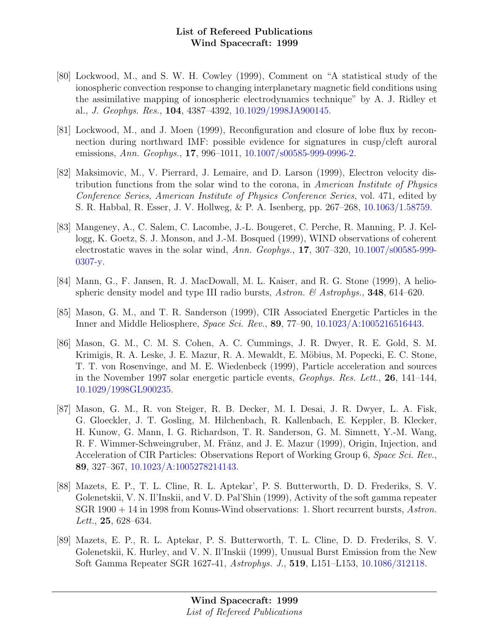- [80] Lockwood, M., and S. W. H. Cowley (1999), Comment on "A statistical study of the ionospheric convection response to changing interplanetary magnetic field conditions using the assimilative mapping of ionospheric electrodynamics technique" by A. J. Ridley et al., J. Geophys. Res., 104, 4387–4392, [10.1029/1998JA900145.](http://dx.doi.org/10.1029/1998JA900145)
- [81] Lockwood, M., and J. Moen (1999), Reconfiguration and closure of lobe flux by reconnection during northward IMF: possible evidence for signatures in cusp/cleft auroral emissions, Ann. Geophys., 17, 996–1011, [10.1007/s00585-999-0996-2.](http://dx.doi.org/10.1007/s00585-999-0996-2)
- [82] Maksimovic, M., V. Pierrard, J. Lemaire, and D. Larson (1999), Electron velocity distribution functions from the solar wind to the corona, in American Institute of Physics Conference Series, American Institute of Physics Conference Series, vol. 471, edited by S. R. Habbal, R. Esser, J. V. Hollweg, & P. A. Isenberg, pp. 267–268, [10.1063/1.58759.](http://dx.doi.org/10.1063/1.58759)
- [83] Mangeney, A., C. Salem, C. Lacombe, J.-L. Bougeret, C. Perche, R. Manning, P. J. Kellogg, K. Goetz, S. J. Monson, and J.-M. Bosqued (1999), WIND observations of coherent electrostatic waves in the solar wind, Ann. Geophys., 17, 307–320, [10.1007/s00585-999-](http://dx.doi.org/10.1007/s00585-999-0307-y) [0307-y.](http://dx.doi.org/10.1007/s00585-999-0307-y)
- [84] Mann, G., F. Jansen, R. J. MacDowall, M. L. Kaiser, and R. G. Stone (1999), A heliospheric density model and type III radio bursts, Astron. & Astrophys., **348**, 614–620.
- [85] Mason, G. M., and T. R. Sanderson (1999), CIR Associated Energetic Particles in the Inner and Middle Heliosphere, Space Sci. Rev., 89, 77–90, [10.1023/A:1005216516443.](http://dx.doi.org/10.1023/A:1005216516443)
- [86] Mason, G. M., C. M. S. Cohen, A. C. Cummings, J. R. Dwyer, R. E. Gold, S. M. Krimigis, R. A. Leske, J. E. Mazur, R. A. Mewaldt, E. Möbius, M. Popecki, E. C. Stone, T. T. von Rosenvinge, and M. E. Wiedenbeck (1999), Particle acceleration and sources in the November 1997 solar energetic particle events, Geophys. Res. Lett., 26, 141–144, [10.1029/1998GL900235.](http://dx.doi.org/10.1029/1998GL900235)
- [87] Mason, G. M., R. von Steiger, R. B. Decker, M. I. Desai, J. R. Dwyer, L. A. Fisk, G. Gloeckler, J. T. Gosling, M. Hilchenbach, R. Kallenbach, E. Keppler, B. Klecker, H. Kunow, G. Mann, I. G. Richardson, T. R. Sanderson, G. M. Simnett, Y.-M. Wang, R. F. Wimmer-Schweingruber, M. Fränz, and J. E. Mazur (1999), Origin, Injection, and Acceleration of CIR Particles: Observations Report of Working Group 6, Space Sci. Rev., 89, 327–367, [10.1023/A:1005278214143.](http://dx.doi.org/10.1023/A:1005278214143)
- [88] Mazets, E. P., T. L. Cline, R. L. Aptekar', P. S. Butterworth, D. D. Frederiks, S. V. Golenetskii, V. N. Il'Inskii, and V. D. Pal'Shin (1999), Activity of the soft gamma repeater SGR 1900 + 14 in 1998 from Konus-Wind observations: 1. Short recurrent bursts, Astron. Lett., **25**, 628–634.
- [89] Mazets, E. P., R. L. Aptekar, P. S. Butterworth, T. L. Cline, D. D. Frederiks, S. V. Golenetskii, K. Hurley, and V. N. Il'Inskii (1999), Unusual Burst Emission from the New Soft Gamma Repeater SGR 1627-41, Astrophys. J., 519, L151–L153, [10.1086/312118.](http://dx.doi.org/10.1086/312118)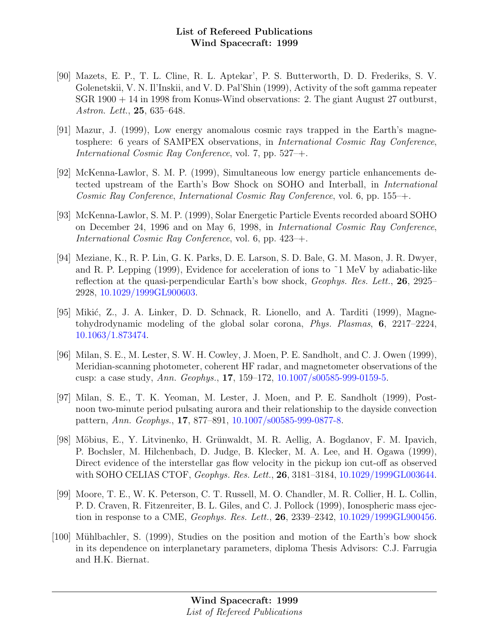- [90] Mazets, E. P., T. L. Cline, R. L. Aptekar', P. S. Butterworth, D. D. Frederiks, S. V. Golenetskii, V. N. Il'Inskii, and V. D. Pal'Shin (1999), Activity of the soft gamma repeater SGR 1900 + 14 in 1998 from Konus-Wind observations: 2. The giant August 27 outburst, Astron. Lett., 25, 635–648.
- [91] Mazur, J. (1999), Low energy anomalous cosmic rays trapped in the Earth's magnetosphere: 6 years of SAMPEX observations, in International Cosmic Ray Conference, International Cosmic Ray Conference, vol. 7, pp. 527–+.
- [92] McKenna-Lawlor, S. M. P. (1999), Simultaneous low energy particle enhancements detected upstream of the Earth's Bow Shock on SOHO and Interball, in International Cosmic Ray Conference, International Cosmic Ray Conference, vol. 6, pp. 155–+.
- [93] McKenna-Lawlor, S. M. P. (1999), Solar Energetic Particle Events recorded aboard SOHO on December 24, 1996 and on May 6, 1998, in International Cosmic Ray Conference, International Cosmic Ray Conference, vol. 6, pp. 423–+.
- [94] Meziane, K., R. P. Lin, G. K. Parks, D. E. Larson, S. D. Bale, G. M. Mason, J. R. Dwyer, and R. P. Lepping (1999), Evidence for acceleration of ions to  $\tilde{\phantom{a}}$  1 MeV by adiabatic-like reflection at the quasi-perpendicular Earth's bow shock, Geophys. Res. Lett., 26, 2925– 2928, [10.1029/1999GL900603.](http://dx.doi.org/10.1029/1999GL900603)
- [95] Mikić, Z., J. A. Linker, D. D. Schnack, R. Lionello, and A. Tarditi (1999), Magnetohydrodynamic modeling of the global solar corona, Phys. Plasmas, 6, 2217–2224, [10.1063/1.873474.](http://dx.doi.org/10.1063/1.873474)
- [96] Milan, S. E., M. Lester, S. W. H. Cowley, J. Moen, P. E. Sandholt, and C. J. Owen (1999), Meridian-scanning photometer, coherent HF radar, and magnetometer observations of the cusp: a case study, Ann. Geophys., 17, 159–172, [10.1007/s00585-999-0159-5.](http://dx.doi.org/10.1007/s00585-999-0159-5)
- [97] Milan, S. E., T. K. Yeoman, M. Lester, J. Moen, and P. E. Sandholt (1999), Postnoon two-minute period pulsating aurora and their relationship to the dayside convection pattern, Ann. Geophys., 17, 877–891, [10.1007/s00585-999-0877-8.](http://dx.doi.org/10.1007/s00585-999-0877-8)
- [98] M¨obius, E., Y. Litvinenko, H. Gr¨unwaldt, M. R. Aellig, A. Bogdanov, F. M. Ipavich, P. Bochsler, M. Hilchenbach, D. Judge, B. Klecker, M. A. Lee, and H. Ogawa (1999), Direct evidence of the interstellar gas flow velocity in the pickup ion cut-off as observed with SOHO CELIAS CTOF, *Geophys. Res. Lett.*, **26**, 3181–3184, [10.1029/1999GL003644.](http://dx.doi.org/10.1029/1999GL003644)
- [99] Moore, T. E., W. K. Peterson, C. T. Russell, M. O. Chandler, M. R. Collier, H. L. Collin, P. D. Craven, R. Fitzenreiter, B. L. Giles, and C. J. Pollock (1999), Ionospheric mass ejection in response to a CME, Geophys. Res. Lett., 26, 2339–2342, [10.1029/1999GL900456.](http://dx.doi.org/10.1029/1999GL900456)
- [100] Mühlbachler, S. (1999), Studies on the position and motion of the Earth's bow shock in its dependence on interplanetary parameters, diploma Thesis Advisors: C.J. Farrugia and H.K. Biernat.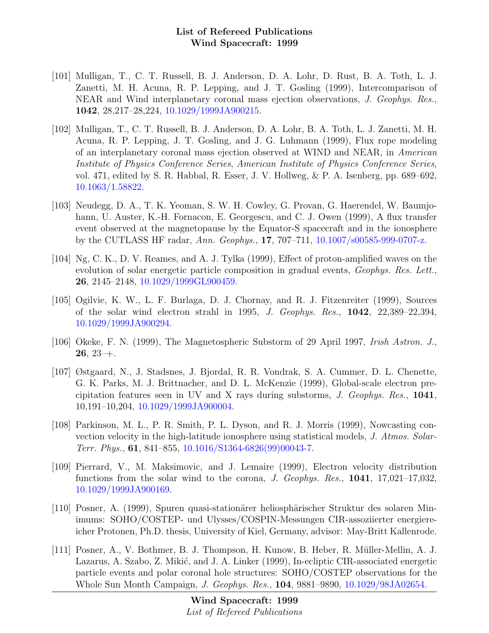- [101] Mulligan, T., C. T. Russell, B. J. Anderson, D. A. Lohr, D. Rust, B. A. Toth, L. J. Zanetti, M. H. Acuna, R. P. Lepping, and J. T. Gosling (1999), Intercomparison of NEAR and Wind interplanetary coronal mass ejection observations, J. Geophys. Res., 1042, 28,217–28,224, [10.1029/1999JA900215.](http://dx.doi.org/10.1029/1999JA900215)
- [102] Mulligan, T., C. T. Russell, B. J. Anderson, D. A. Lohr, B. A. Toth, L. J. Zanetti, M. H. Acuna, R. P. Lepping, J. T. Gosling, and J. G. Luhmann (1999), Flux rope modeling of an interplanetary coronal mass ejection observed at WIND and NEAR, in American Institute of Physics Conference Series, American Institute of Physics Conference Series, vol. 471, edited by S. R. Habbal, R. Esser, J. V. Hollweg, & P. A. Isenberg, pp. 689–692, [10.1063/1.58822.](http://dx.doi.org/10.1063/1.58822)
- [103] Neudegg, D. A., T. K. Yeoman, S. W. H. Cowley, G. Provan, G. Haerendel, W. Baumjohann, U. Auster, K.-H. Fornacon, E. Georgescu, and C. J. Owen (1999), A flux transfer event observed at the magnetopause by the Equator-S spacecraft and in the ionosphere by the CUTLASS HF radar, Ann. Geophys., 17, 707–711, [10.1007/s00585-999-0707-z.](http://dx.doi.org/10.1007/s00585-999-0707-z)
- [104] Ng, C. K., D. V. Reames, and A. J. Tylka (1999), Effect of proton-amplified waves on the evolution of solar energetic particle composition in gradual events, *Geophys. Res. Lett.*, 26, 2145–2148, [10.1029/1999GL900459.](http://dx.doi.org/10.1029/1999GL900459)
- [105] Ogilvie, K. W., L. F. Burlaga, D. J. Chornay, and R. J. Fitzenreiter (1999), Sources of the solar wind electron strahl in 1995, J. Geophys. Res., 1042, 22,389–22,394, [10.1029/1999JA900294.](http://dx.doi.org/10.1029/1999JA900294)
- [106] Okeke, F. N. (1999), The Magnetospheric Substorm of 29 April 1997, Irish Astron. J.,  $26, 23 +$ .
- [107] Østgaard, N., J. Stadsnes, J. Bjordal, R. R. Vondrak, S. A. Cummer, D. L. Chenette, G. K. Parks, M. J. Brittnacher, and D. L. McKenzie (1999), Global-scale electron precipitation features seen in UV and X rays during substorms, J. Geophys. Res., 1041, 10,191–10,204, [10.1029/1999JA900004.](http://dx.doi.org/10.1029/1999JA900004)
- [108] Parkinson, M. L., P. R. Smith, P. L. Dyson, and R. J. Morris (1999), Nowcasting convection velocity in the high-latitude ionosphere using statistical models, J. Atmos. Solar-Terr. Phys., 61, 841–855, [10.1016/S1364-6826\(99\)00043-7.](http://dx.doi.org/10.1016/S1364-6826(99)00043-7)
- [109] Pierrard, V., M. Maksimovic, and J. Lemaire (1999), Electron velocity distribution functions from the solar wind to the corona, J. Geophys. Res.,  $1041$ ,  $17,021-17,032$ , [10.1029/1999JA900169.](http://dx.doi.org/10.1029/1999JA900169)
- [110] Posner, A. (1999), Spuren quasi-stationärer heliosphärischer Struktur des solaren Minimums: SOHO/COSTEP- und Ulysses/COSPIN-Messungen CIR-assoziierter energiereicher Protonen, Ph.D. thesis, University of Kiel, Germany, advisor: May-Britt Kallenrode.
- [111] Posner, A., V. Bothmer, B. J. Thompson, H. Kunow, B. Heber, R. M¨uller-Mellin, A. J. Lazarus, A. Szabo, Z. Mikić, and J. A. Linker (1999), In-ecliptic CIR-associated energetic particle events and polar coronal hole structures: SOHO/COSTEP observations for the Whole Sun Month Campaign, J. Geophys. Res., 104, 9881–9890, [10.1029/98JA02654.](http://dx.doi.org/10.1029/98JA02654)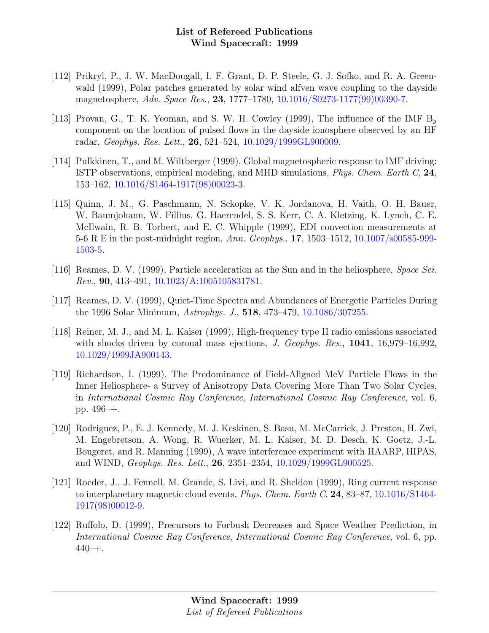- [112] Prikryl, P., J. W. MacDougall, I. F. Grant, D. P. Steele, G. J. Sofko, and R. A. Greenwald (1999), Polar patches generated by solar wind alfven wave coupling to the dayside magnetosphere, Adv. Space Res., 23, 1777–1780, [10.1016/S0273-1177\(99\)00390-7.](http://dx.doi.org/10.1016/S0273-1177(99)00390-7)
- [113] Provan, G., T. K. Yeoman, and S. W. H. Cowley (1999), The influence of the IMF  $B_y$ component on the location of pulsed flows in the dayside ionosphere observed by an HF radar, Geophys. Res. Lett., 26, 521–524, [10.1029/1999GL900009.](http://dx.doi.org/10.1029/1999GL900009)
- [114] Pulkkinen, T., and M. Wiltberger (1999), Global magnetospheric response to IMF driving: ISTP observations, empirical modeling, and MHD simulations, Phys. Chem. Earth C, 24, 153–162, [10.1016/S1464-1917\(98\)00023-3.](http://dx.doi.org/10.1016/S1464-1917(98)00023-3)
- [115] Quinn, J. M., G. Paschmann, N. Sckopke, V. K. Jordanova, H. Vaith, O. H. Bauer, W. Baumjohann, W. Fillius, G. Haerendel, S. S. Kerr, C. A. Kletzing, K. Lynch, C. E. McIlwain, R. B. Torbert, and E. C. Whipple (1999), EDI convection measurements at 5-6 R E in the post-midnight region, Ann. Geophys., 17, 1503–1512, [10.1007/s00585-999-](http://dx.doi.org/10.1007/s00585-999-1503-5) [1503-5.](http://dx.doi.org/10.1007/s00585-999-1503-5)
- [116] Reames, D. V. (1999), Particle acceleration at the Sun and in the heliosphere, Space Sci. Rev., 90, 413–491, [10.1023/A:1005105831781.](http://dx.doi.org/10.1023/A:1005105831781)
- [117] Reames, D. V. (1999), Quiet-Time Spectra and Abundances of Energetic Particles During the 1996 Solar Minimum, Astrophys. J., 518, 473–479, [10.1086/307255.](http://dx.doi.org/10.1086/307255)
- [118] Reiner, M. J., and M. L. Kaiser (1999), High-frequency type II radio emissions associated with shocks driven by coronal mass ejections, J. Geophys. Res.,  $1041$ ,  $16,979-16,992$ , [10.1029/1999JA900143.](http://dx.doi.org/10.1029/1999JA900143)
- [119] Richardson, I. (1999), The Predominance of Field-Aligned MeV Particle Flows in the Inner Heliosphere- a Survey of Anisotropy Data Covering More Than Two Solar Cycles, in International Cosmic Ray Conference, International Cosmic Ray Conference, vol. 6, pp. 496–+.
- [120] Rodriguez, P., E. J. Kennedy, M. J. Keskinen, S. Basu, M. McCarrick, J. Preston, H. Zwi, M. Engebretson, A. Wong, R. Wuerker, M. L. Kaiser, M. D. Desch, K. Goetz, J.-L. Bougeret, and R. Manning (1999), A wave interference experiment with HAARP, HIPAS, and WIND, Geophys. Res. Lett., 26, 2351–2354, [10.1029/1999GL900525.](http://dx.doi.org/10.1029/1999GL900525)
- [121] Roeder, J., J. Fennell, M. Grande, S. Livi, and R. Sheldon (1999), Ring current response to interplanetary magnetic cloud events, Phys. Chem. Earth C, 24, 83–87, [10.1016/S1464-](http://dx.doi.org/10.1016/S1464-1917(98)00012-9) [1917\(98\)00012-9.](http://dx.doi.org/10.1016/S1464-1917(98)00012-9)
- [122] Ruffolo, D. (1999), Precursors to Forbush Decreases and Space Weather Prediction, in International Cosmic Ray Conference, International Cosmic Ray Conference, vol. 6, pp. 440–+.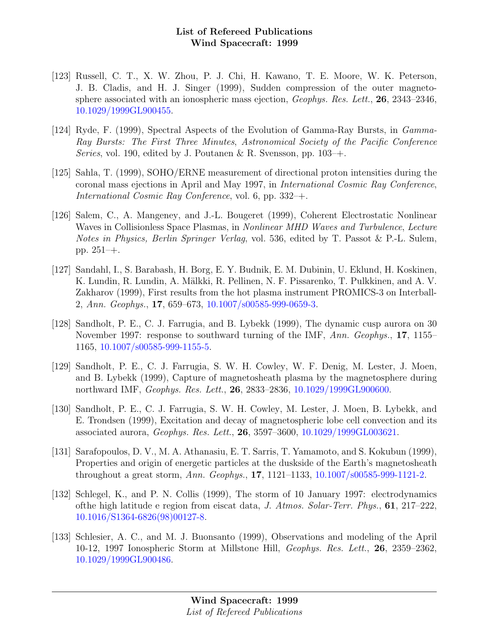- [123] Russell, C. T., X. W. Zhou, P. J. Chi, H. Kawano, T. E. Moore, W. K. Peterson, J. B. Cladis, and H. J. Singer (1999), Sudden compression of the outer magnetosphere associated with an ionospheric mass ejection, Geophys. Res. Lett., 26, 2343–2346, [10.1029/1999GL900455.](http://dx.doi.org/10.1029/1999GL900455)
- [124] Ryde, F. (1999), Spectral Aspects of the Evolution of Gamma-Ray Bursts, in Gamma-Ray Bursts: The First Three Minutes, Astronomical Society of the Pacific Conference Series, vol. 190, edited by J. Poutanen & R. Svensson, pp.  $103-+$ .
- [125] Sahla, T. (1999), SOHO/ERNE measurement of directional proton intensities during the coronal mass ejections in April and May 1997, in International Cosmic Ray Conference, International Cosmic Ray Conference, vol. 6, pp. 332–+.
- [126] Salem, C., A. Mangeney, and J.-L. Bougeret (1999), Coherent Electrostatic Nonlinear Waves in Collisionless Space Plasmas, in *Nonlinear MHD Waves and Turbulence*, *Lecture* Notes in Physics, Berlin Springer Verlag, vol. 536, edited by T. Passot & P.-L. Sulem, pp. 251–+.
- [127] Sandahl, I., S. Barabash, H. Borg, E. Y. Budnik, E. M. Dubinin, U. Eklund, H. Koskinen, K. Lundin, R. Lundin, A. Mälkki, R. Pellinen, N. F. Pissarenko, T. Pulkkinen, and A. V. Zakharov (1999), First results from the hot plasma instrument PROMICS-3 on Interball-2, Ann. Geophys., 17, 659–673, [10.1007/s00585-999-0659-3.](http://dx.doi.org/10.1007/s00585-999-0659-3)
- [128] Sandholt, P. E., C. J. Farrugia, and B. Lybekk (1999), The dynamic cusp aurora on 30 November 1997: response to southward turning of the IMF, Ann. Geophys., 17, 1155– 1165, [10.1007/s00585-999-1155-5.](http://dx.doi.org/10.1007/s00585-999-1155-5)
- [129] Sandholt, P. E., C. J. Farrugia, S. W. H. Cowley, W. F. Denig, M. Lester, J. Moen, and B. Lybekk (1999), Capture of magnetosheath plasma by the magnetosphere during northward IMF, Geophys. Res. Lett., 26, 2833–2836, [10.1029/1999GL900600.](http://dx.doi.org/10.1029/1999GL900600)
- [130] Sandholt, P. E., C. J. Farrugia, S. W. H. Cowley, M. Lester, J. Moen, B. Lybekk, and E. Trondsen (1999), Excitation and decay of magnetospheric lobe cell convection and its associated aurora, Geophys. Res. Lett., 26, 3597–3600, [10.1029/1999GL003621.](http://dx.doi.org/10.1029/1999GL003621)
- [131] Sarafopoulos, D. V., M. A. Athanasiu, E. T. Sarris, T. Yamamoto, and S. Kokubun (1999), Properties and origin of energetic particles at the duskside of the Earth's magnetosheath throughout a great storm, Ann. Geophys., 17, 1121–1133, [10.1007/s00585-999-1121-2.](http://dx.doi.org/10.1007/s00585-999-1121-2)
- [132] Schlegel, K., and P. N. Collis (1999), The storm of 10 January 1997: electrodynamics ofthe high latitude e region from eiscat data, J. Atmos. Solar-Terr. Phys., 61, 217–222, [10.1016/S1364-6826\(98\)00127-8.](http://dx.doi.org/10.1016/S1364-6826(98)00127-8)
- [133] Schlesier, A. C., and M. J. Buonsanto (1999), Observations and modeling of the April 10-12, 1997 Ionospheric Storm at Millstone Hill, Geophys. Res. Lett., 26, 2359–2362, [10.1029/1999GL900486.](http://dx.doi.org/10.1029/1999GL900486)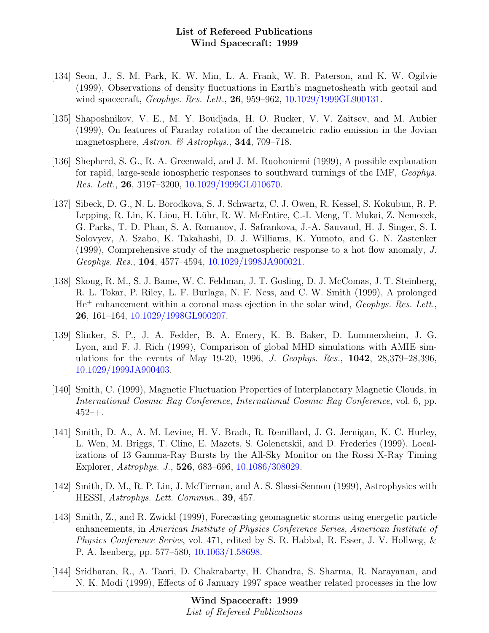- [134] Seon, J., S. M. Park, K. W. Min, L. A. Frank, W. R. Paterson, and K. W. Ogilvie (1999), Observations of density fluctuations in Earth's magnetosheath with geotail and wind spacecraft, *Geophys. Res. Lett.*, **26**, 959–962, [10.1029/1999GL900131.](http://dx.doi.org/10.1029/1999GL900131)
- [135] Shaposhnikov, V. E., M. Y. Boudjada, H. O. Rucker, V. V. Zaitsev, and M. Aubier (1999), On features of Faraday rotation of the decametric radio emission in the Jovian magnetosphere, Astron. & Astrophys., 344, 709-718.
- [136] Shepherd, S. G., R. A. Greenwald, and J. M. Ruohoniemi (1999), A possible explanation for rapid, large-scale ionospheric responses to southward turnings of the IMF, Geophys. Res. Lett., 26, 3197–3200, [10.1029/1999GL010670.](http://dx.doi.org/10.1029/1999GL010670)
- [137] Sibeck, D. G., N. L. Borodkova, S. J. Schwartz, C. J. Owen, R. Kessel, S. Kokubun, R. P. Lepping, R. Lin, K. Liou, H. Lühr, R. W. McEntire, C.-I. Meng, T. Mukai, Z. Nemecek, G. Parks, T. D. Phan, S. A. Romanov, J. Safrankova, J.-A. Sauvaud, H. J. Singer, S. I. Solovyev, A. Szabo, K. Takahashi, D. J. Williams, K. Yumoto, and G. N. Zastenker (1999), Comprehensive study of the magnetospheric response to a hot flow anomaly, J. Geophys. Res., 104, 4577–4594, [10.1029/1998JA900021.](http://dx.doi.org/10.1029/1998JA900021)
- [138] Skoug, R. M., S. J. Bame, W. C. Feldman, J. T. Gosling, D. J. McComas, J. T. Steinberg, R. L. Tokar, P. Riley, L. F. Burlaga, N. F. Ness, and C. W. Smith (1999), A prolonged  $He<sup>+</sup>$  enhancement within a coronal mass ejection in the solar wind, *Geophys. Res. Lett.*, 26, 161–164, [10.1029/1998GL900207.](http://dx.doi.org/10.1029/1998GL900207)
- [139] Slinker, S. P., J. A. Fedder, B. A. Emery, K. B. Baker, D. Lummerzheim, J. G. Lyon, and F. J. Rich (1999), Comparison of global MHD simulations with AMIE simulations for the events of May 19-20, 1996, J. Geophys. Res., 1042, 28,379–28,396, [10.1029/1999JA900403.](http://dx.doi.org/10.1029/1999JA900403)
- [140] Smith, C. (1999), Magnetic Fluctuation Properties of Interplanetary Magnetic Clouds, in International Cosmic Ray Conference, International Cosmic Ray Conference, vol. 6, pp. 452–+.
- [141] Smith, D. A., A. M. Levine, H. V. Bradt, R. Remillard, J. G. Jernigan, K. C. Hurley, L. Wen, M. Briggs, T. Cline, E. Mazets, S. Golenetskii, and D. Frederics (1999), Localizations of 13 Gamma-Ray Bursts by the All-Sky Monitor on the Rossi X-Ray Timing Explorer, Astrophys. J., 526, 683–696, [10.1086/308029.](http://dx.doi.org/10.1086/308029)
- [142] Smith, D. M., R. P. Lin, J. McTiernan, and A. S. Slassi-Sennou (1999), Astrophysics with HESSI, Astrophys. Lett. Commun., 39, 457.
- [143] Smith, Z., and R. Zwickl (1999), Forecasting geomagnetic storms using energetic particle enhancements, in American Institute of Physics Conference Series, American Institute of Physics Conference Series, vol. 471, edited by S. R. Habbal, R. Esser, J. V. Hollweg, & P. A. Isenberg, pp. 577–580, [10.1063/1.58698.](http://dx.doi.org/10.1063/1.58698)
- [144] Sridharan, R., A. Taori, D. Chakrabarty, H. Chandra, S. Sharma, R. Narayanan, and N. K. Modi (1999), Effects of 6 January 1997 space weather related processes in the low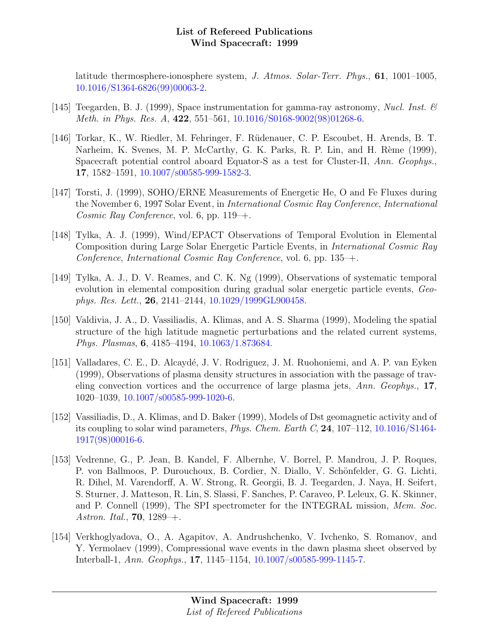latitude thermosphere-ionosphere system, J. Atmos. Solar-Terr. Phys., 61, 1001–1005, [10.1016/S1364-6826\(99\)00063-2.](http://dx.doi.org/10.1016/S1364-6826(99)00063-2)

- [145] Teegarden, B. J. (1999), Space instrumentation for gamma-ray astronomy, Nucl. Inst.  $\mathcal{B}$ Meth. in Phys. Res. A, 422, 551–561, [10.1016/S0168-9002\(98\)01268-6.](http://dx.doi.org/10.1016/S0168-9002(98)01268-6)
- [146] Torkar, K., W. Riedler, M. Fehringer, F. R¨udenauer, C. P. Escoubet, H. Arends, B. T. Narheim, K. Svenes, M. P. McCarthy, G. K. Parks, R. P. Lin, and H. Rème (1999), Spacecraft potential control aboard Equator-S as a test for Cluster-II, Ann. Geophys., 17, 1582–1591, [10.1007/s00585-999-1582-3.](http://dx.doi.org/10.1007/s00585-999-1582-3)
- [147] Torsti, J. (1999), SOHO/ERNE Measurements of Energetic He, O and Fe Fluxes during the November 6, 1997 Solar Event, in International Cosmic Ray Conference, International Cosmic Ray Conference, vol. 6, pp.  $119-+$ .
- [148] Tylka, A. J. (1999), Wind/EPACT Observations of Temporal Evolution in Elemental Composition during Large Solar Energetic Particle Events, in International Cosmic Ray Conference, International Cosmic Ray Conference, vol. 6, pp. 135–+.
- [149] Tylka, A. J., D. V. Reames, and C. K. Ng (1999), Observations of systematic temporal evolution in elemental composition during gradual solar energetic particle events, Geophys. Res. Lett., 26, 2141–2144, [10.1029/1999GL900458.](http://dx.doi.org/10.1029/1999GL900458)
- [150] Valdivia, J. A., D. Vassiliadis, A. Klimas, and A. S. Sharma (1999), Modeling the spatial structure of the high latitude magnetic perturbations and the related current systems, Phys. Plasmas, 6, 4185–4194, [10.1063/1.873684.](http://dx.doi.org/10.1063/1.873684)
- [151] Valladares, C. E., D. Alcaydé, J. V. Rodriguez, J. M. Ruohoniemi, and A. P. van Eyken (1999), Observations of plasma density structures in association with the passage of traveling convection vortices and the occurrence of large plasma jets, Ann. Geophys., 17, 1020–1039, [10.1007/s00585-999-1020-6.](http://dx.doi.org/10.1007/s00585-999-1020-6)
- [152] Vassiliadis, D., A. Klimas, and D. Baker (1999), Models of Dst geomagnetic activity and of its coupling to solar wind parameters, *Phys. Chem. Earth C*, **24**, 107–112, [10.1016/S1464-](http://dx.doi.org/10.1016/S1464-1917(98)00016-6) [1917\(98\)00016-6.](http://dx.doi.org/10.1016/S1464-1917(98)00016-6)
- [153] Vedrenne, G., P. Jean, B. Kandel, F. Albernhe, V. Borrel, P. Mandrou, J. P. Roques, P. von Ballmoos, P. Durouchoux, B. Cordier, N. Diallo, V. Schönfelder, G. G. Lichti, R. Dihel, M. Varendorff, A. W. Strong, R. Georgii, B. J. Teegarden, J. Naya, H. Seifert, S. Sturner, J. Matteson, R. Lin, S. Slassi, F. Sanches, P. Caraveo, P. Leleux, G. K. Skinner, and P. Connell (1999), The SPI spectrometer for the INTEGRAL mission, Mem. Soc. Astron. Ital., **70**,  $1289-+$ .
- [154] Verkhoglyadova, O., A. Agapitov, A. Andrushchenko, V. Ivchenko, S. Romanov, and Y. Yermolaev (1999), Compressional wave events in the dawn plasma sheet observed by Interball-1, Ann. Geophys., 17, 1145–1154, [10.1007/s00585-999-1145-7.](http://dx.doi.org/10.1007/s00585-999-1145-7)